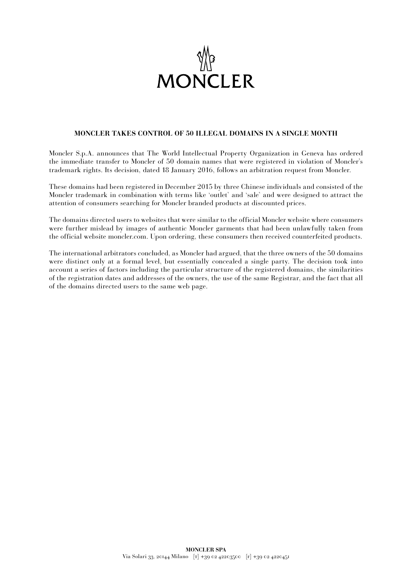

## **MONCLER TAKES CONTROL OF 50 ILLEGAL DOMAINS IN A SINGLE MONTH**

Moncler S.p.A. announces that The World Intellectual Property Organization in Geneva has ordered the immediate transfer to Moncler of 50 domain names that were registered in violation of Moncler's trademark rights. Its decision, dated 18 January 2016, follows an arbitration request from Moncler.

These domains had been registered in December 2015 by three Chinese individuals and consisted of the Moncler trademark in combination with terms like 'outlet' and 'sale' and were designed to attract the attention of consumers searching for Moncler branded products at discounted prices.

The domains directed users to websites that were similar to the official Moncler website where consumers were further mislead by images of authentic Moncler garments that had been unlawfully taken from the official website moncler.com. Upon ordering, these consumers then received counterfeited products.

The international arbitrators concluded, as Moncler had argued, that the three owners of the 50 domains were distinct only at a formal level, but essentially concealed a single party. The decision took into account a series of factors including the particular structure of the registered domains, the similarities of the registration dates and addresses of the owners, the use of the same Registrar, and the fact that all of the domains directed users to the same web page.